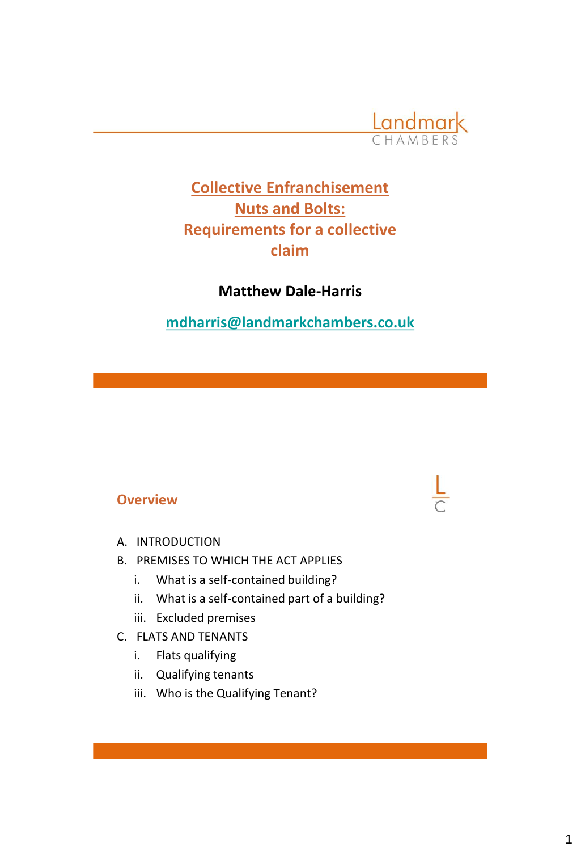

# **Collective Enfranchisement Nuts and Bolts: Requirements for a collective claim**

## **Matthew Dale-Harris**

**[mdharris@landmarkchambers.co.uk](mailto:mdharris@landmarkchambers.co.uk)**

#### **Overview**

- A. INTRODUCTION
- B. PREMISES TO WHICH THE ACT APPLIES
	- i. What is a self-contained building?
	- ii. What is a self-contained part of a building?
	- iii. Excluded premises
- C. FLATS AND TENANTS
	- i. Flats qualifying
	- ii. Qualifying tenants
	- iii. Who is the Qualifying Tenant?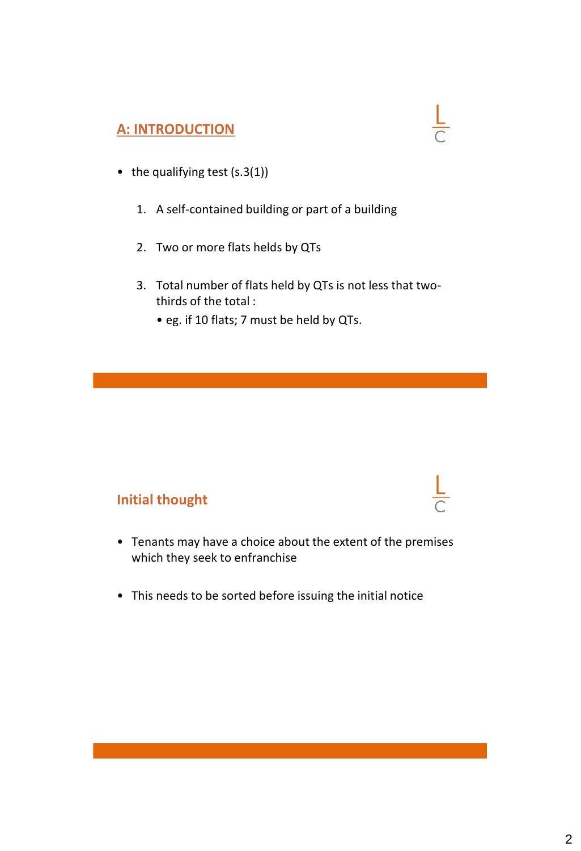#### **A: INTRODUCTION**

- the qualifying test (s.3(1))
	- 1. A self-contained building or part of a building
	- 2. Two or more flats helds by QTs
	- 3. Total number of flats held by QTs is not less that twothirds of the total :

 $\frac{L}{C}$ 

• eg. if 10 flats; 7 must be held by QTs.

#### **Initial thought**

- Tenants may have a choice about the extent of the premises which they seek to enfranchise
- This needs to be sorted before issuing the initial notice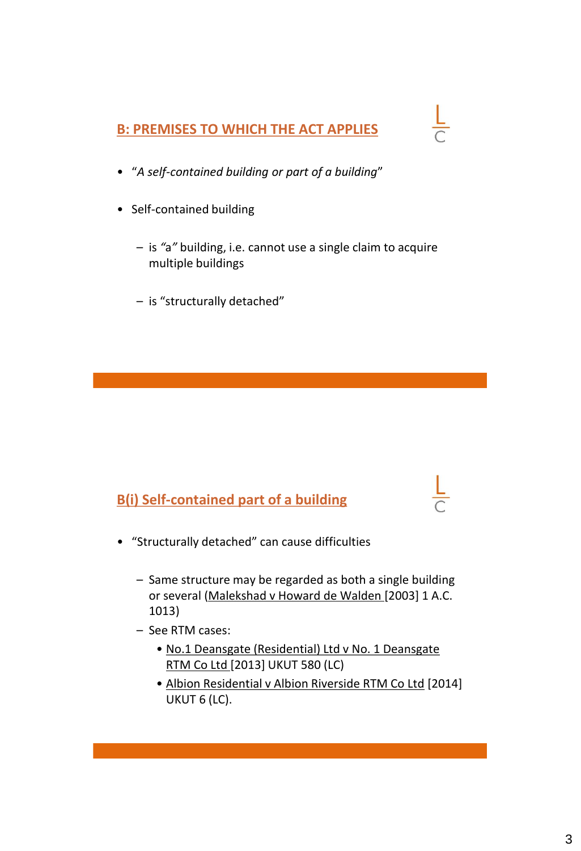#### **B: PREMISES TO WHICH THE ACT APPLIES**

- "*A self-contained building or part of a building*"
- Self-contained building
	- is *"*a*"* building, i.e. cannot use a single claim to acquire multiple buildings
	- is "structurally detached"

#### **B(i) Self-contained part of a building**

- "Structurally detached" can cause difficulties
	- Same structure may be regarded as both a single building or several (Malekshad v Howard de Walden [2003] 1 A.C. 1013)
	- See RTM cases:
		- No.1 Deansgate (Residential) Ltd v No. 1 Deansgate RTM Co Ltd [2013] UKUT 580 (LC)
		- Albion Residential v Albion Riverside RTM Co Ltd [2014] UKUT 6 (LC).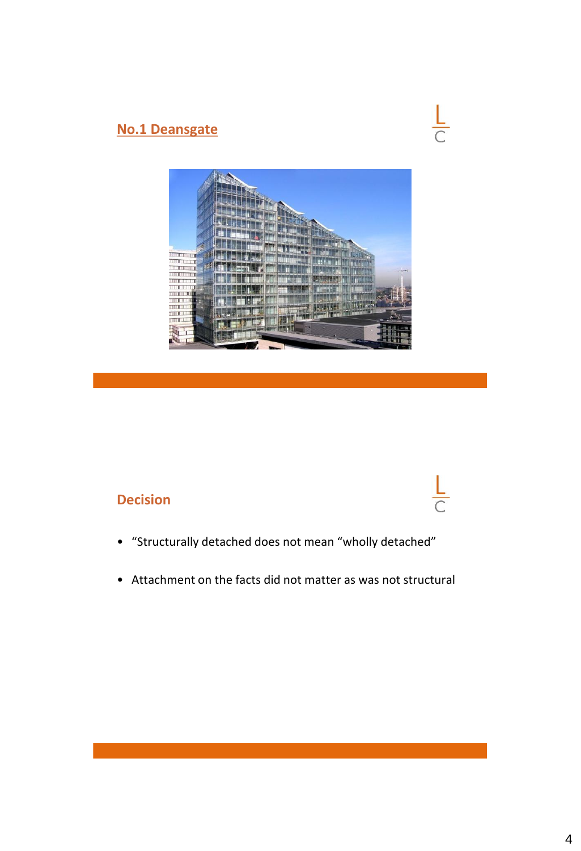## **No.1 Deansgate**



 $\frac{L}{C}$ 



# **Decision**

- "Structurally detached does not mean "wholly detached"
- Attachment on the facts did not matter as was not structural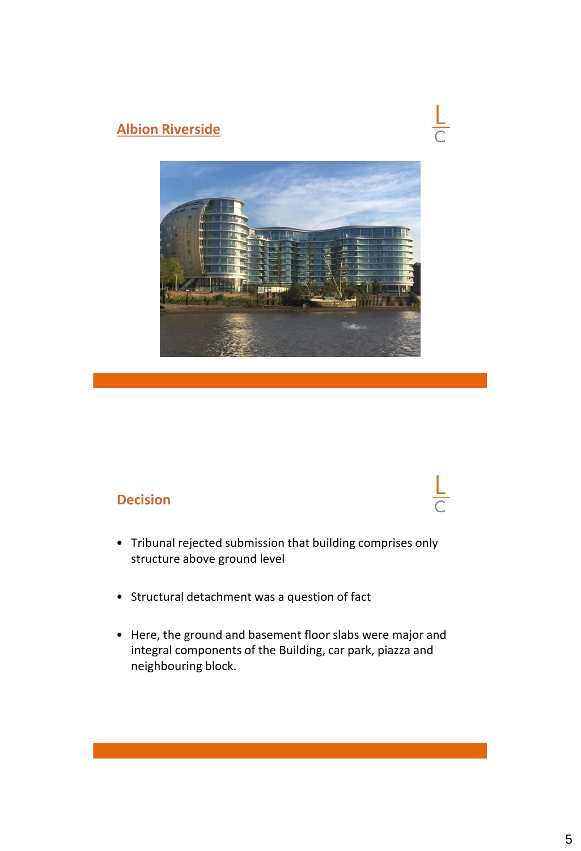## **Albion Riverside**

# $\frac{L}{C}$



#### **Decision**

- Tribunal rejected submission that building comprises only structure above ground level
- Structural detachment was a question of fact
- Here, the ground and basement floor slabs were major and integral components of the Building, car park, piazza and neighbouring block.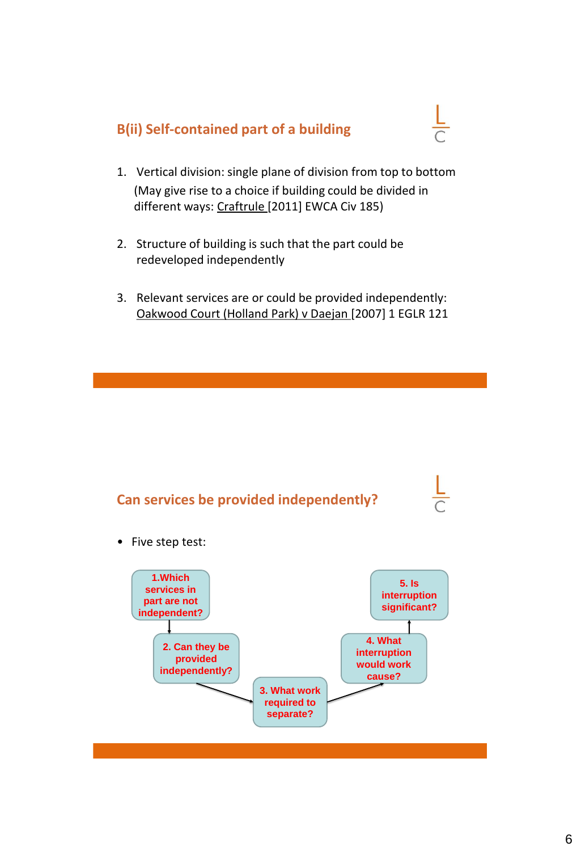#### **B(ii) Self-contained part of a building**



- 1. Vertical division: single plane of division from top to bottom (May give rise to a choice if building could be divided in different ways: Craftrule [2011] EWCA Civ 185)
- 2. Structure of building is such that the part could be redeveloped independently
- 3. Relevant services are or could be provided independently: Oakwood Court (Holland Park) v Daejan [2007] 1 EGLR 121

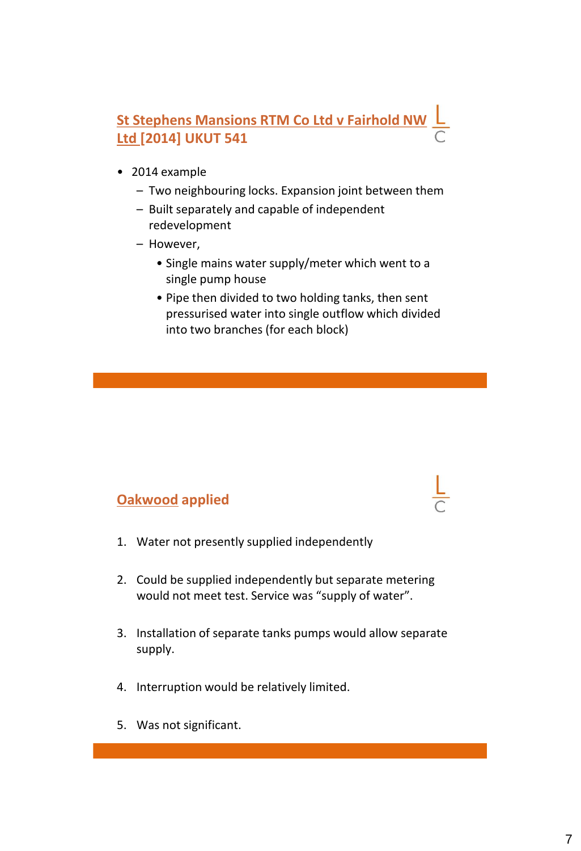# **St Stephens Mansions RTM Co Ltd v Fairhold NW Ltd [2014] UKUT 541**

- 2014 example
	- Two neighbouring locks. Expansion joint between them
	- Built separately and capable of independent redevelopment
	- However,
		- Single mains water supply/meter which went to a single pump house
		- Pipe then divided to two holding tanks, then sent pressurised water into single outflow which divided into two branches (for each block)

#### **Oakwood applied**

- 1. Water not presently supplied independently
- 2. Could be supplied independently but separate metering would not meet test. Service was "supply of water".
- 3. Installation of separate tanks pumps would allow separate supply.
- 4. Interruption would be relatively limited.
- 5. Was not significant.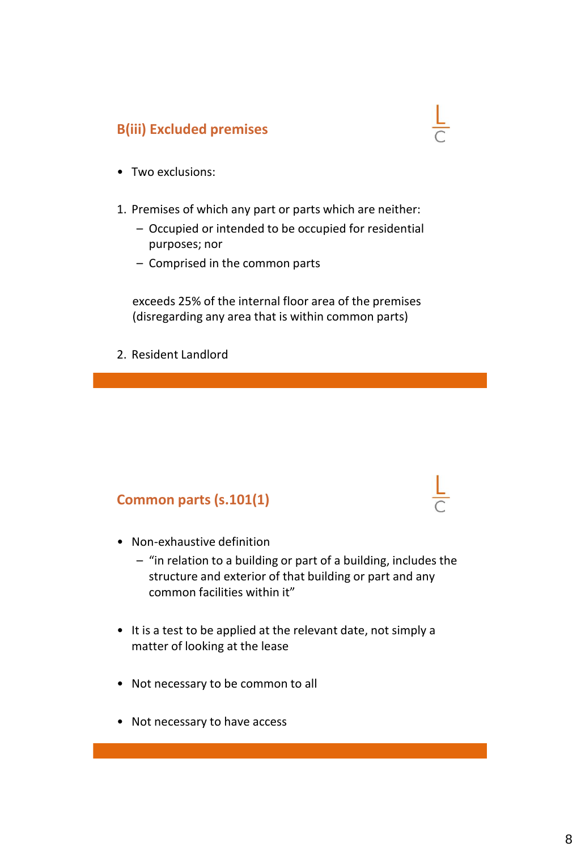## **B(iii) Excluded premises**

- Two exclusions:
- 1. Premises of which any part or parts which are neither:
	- Occupied or intended to be occupied for residential purposes; nor
	- Comprised in the common parts

exceeds 25% of the internal floor area of the premises (disregarding any area that is within common parts)

2. Resident Landlord

#### **Common parts (s.101(1)**

- Non-exhaustive definition
	- "in relation to a building or part of a building, includes the structure and exterior of that building or part and any common facilities within it"
- It is a test to be applied at the relevant date, not simply a matter of looking at the lease
- Not necessary to be common to all
- Not necessary to have access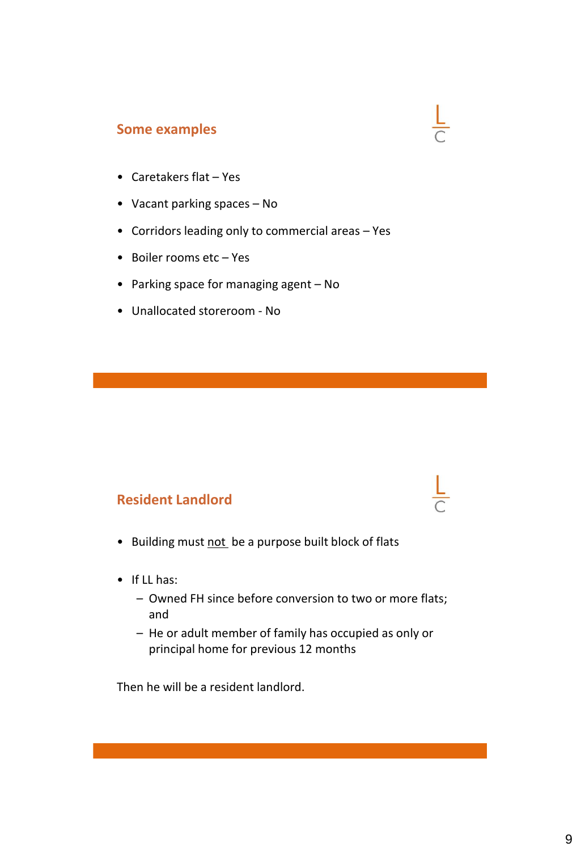#### **Some examples**

- Caretakers flat Yes
- Vacant parking spaces No
- Corridors leading only to commercial areas Yes

 $\frac{L}{C}$ 

- Boiler rooms etc Yes
- Parking space for managing agent No
- Unallocated storeroom No

#### **Resident Landlord**

- Building must not be a purpose built block of flats
- If LL has:
	- Owned FH since before conversion to two or more flats; and
	- He or adult member of family has occupied as only or principal home for previous 12 months

Then he will be a resident landlord.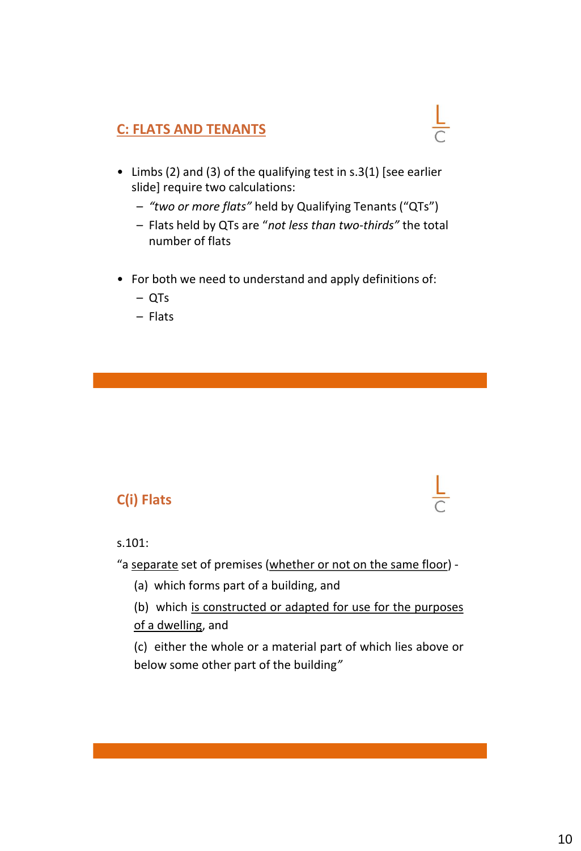#### **C: FLATS AND TENANTS**

- Limbs (2) and (3) of the qualifying test in s.3(1) [see earlier slide] require two calculations:
	- *"two or more flats"* held by Qualifying Tenants ("QTs")

 $\frac{L}{C}$ 

- Flats held by QTs are "*not less than two-thirds"* the total number of flats
- For both we need to understand and apply definitions of:
	- QTs
	- Flats

## **C(i) Flats**

#### s.101:

"a separate set of premises (whether or not on the same floor) -

- (a) which forms part of a building, and
- (b) which is constructed or adapted for use for the purposes of a dwelling, and

(c) either the whole or a material part of which lies above or below some other part of the building*"*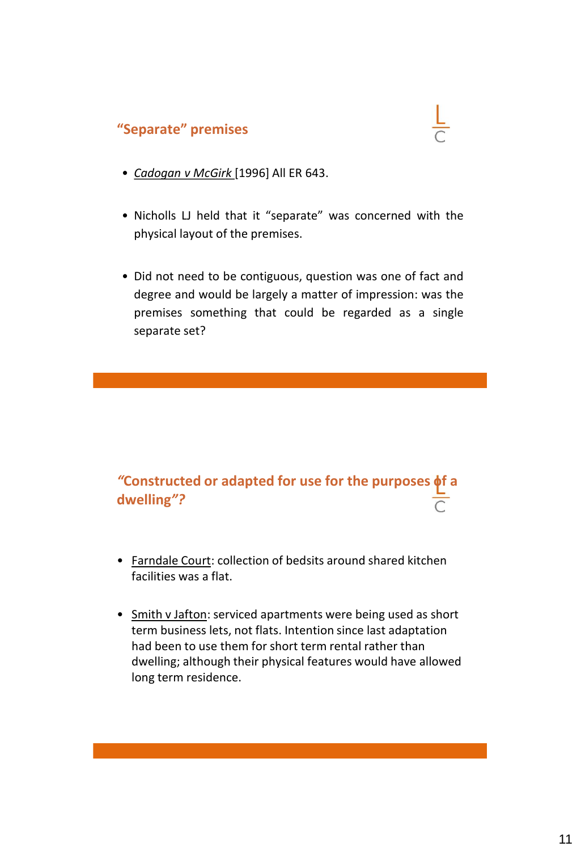#### **"Separate" premises**

- *Cadogan v McGirk* [1996] All ER 643.
- Nicholls LJ held that it "separate" was concerned with the physical layout of the premises.
- Did not need to be contiguous, question was one of fact and degree and would be largely a matter of impression: was the premises something that could be regarded as a single separate set?

# *"***Constructed or adapted for use for the purposes of a dwelling***"?*

- Farndale Court: collection of bedsits around shared kitchen facilities was a flat.
- Smith v Jafton: serviced apartments were being used as short term business lets, not flats. Intention since last adaptation had been to use them for short term rental rather than dwelling; although their physical features would have allowed long term residence.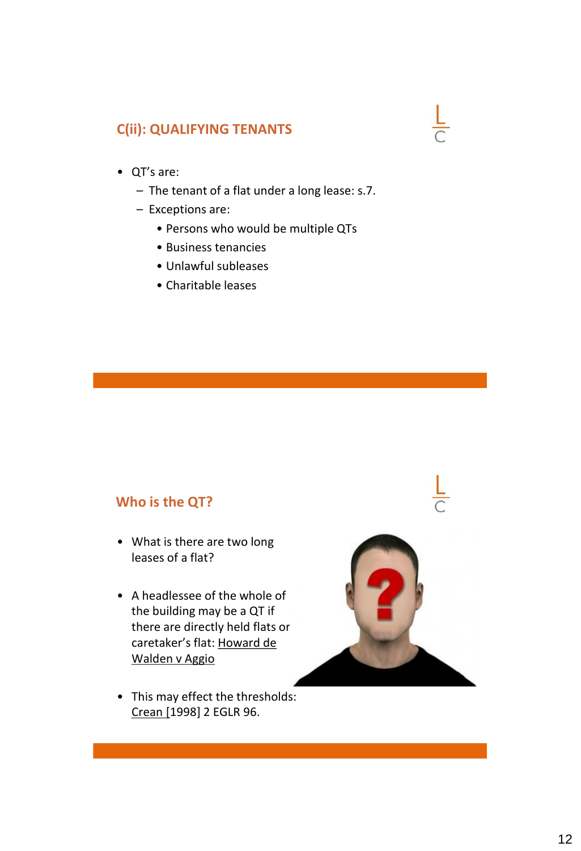#### **C(ii): QUALIFYING TENANTS**

- QT's are:
	- The tenant of a flat under a long lease: s.7.
	- Exceptions are:
		- Persons who would be multiple QTs
		- Business tenancies
		- Unlawful subleases
		- Charitable leases

#### **Who is the QT?**

- What is there are two long leases of a flat?
- A headlessee of the whole of the building may be a QT if there are directly held flats or a caretaker's flat: Howard de Walden v Aggio



• This may effect the thresholds: Crean [1998] 2 EGLR 96.